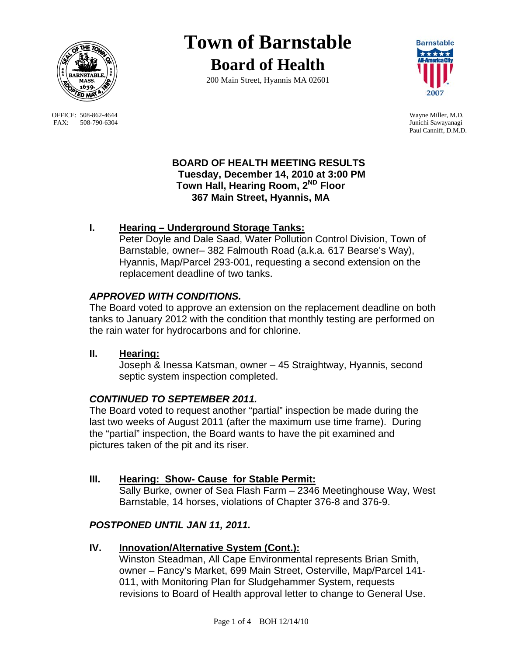

OFFICE: 508-862-4644 Wayne Miller, M.D.<br>
FAX: 508-790-6304 Junichi Sawayanagi FAX: 508-790-6304

# **Town of Barnstable Board of Health**

200 Main Street, Hyannis MA 02601



Paul Canniff, D.M.D.

## **BOARD OF HEALTH MEETING RESULTS Tuesday, December 14, 2010 at 3:00 PM Town Hall, Hearing Room, 2ND Floor 367 Main Street, Hyannis, MA**

# **I. Hearing – Underground Storage Tanks:**

Peter Doyle and Dale Saad, Water Pollution Control Division, Town of Barnstable, owner– 382 Falmouth Road (a.k.a. 617 Bearse's Way), Hyannis, Map/Parcel 293-001, requesting a second extension on the replacement deadline of two tanks.

# *APPROVED WITH CONDITIONS.*

The Board voted to approve an extension on the replacement deadline on both tanks to January 2012 with the condition that monthly testing are performed on the rain water for hydrocarbons and for chlorine.

**II. Hearing:** 

Joseph & Inessa Katsman, owner – 45 Straightway, Hyannis, second septic system inspection completed.

## *CONTINUED TO SEPTEMBER 2011.*

The Board voted to request another "partial" inspection be made during the last two weeks of August 2011 (after the maximum use time frame). During the "partial" inspection, the Board wants to have the pit examined and pictures taken of the pit and its riser.

## **III. Hearing: Show- Cause for Stable Permit:**

 Sally Burke, owner of Sea Flash Farm – 2346 Meetinghouse Way, West Barnstable, 14 horses, violations of Chapter 376-8 and 376-9.

## *POSTPONED UNTIL JAN 11, 2011.*

## **IV. Innovation/Alternative System (Cont.):**

 Winston Steadman, All Cape Environmental represents Brian Smith, owner – Fancy's Market, 699 Main Street, Osterville, Map/Parcel 141- 011, with Monitoring Plan for Sludgehammer System, requests revisions to Board of Health approval letter to change to General Use.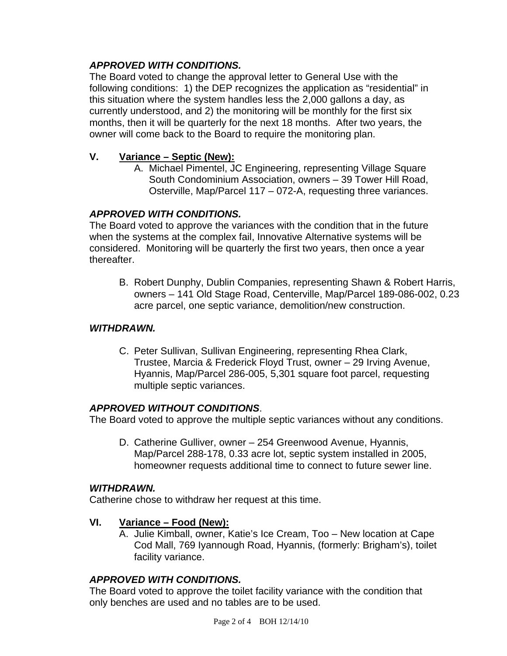# *APPROVED WITH CONDITIONS.*

The Board voted to change the approval letter to General Use with the following conditions: 1) the DEP recognizes the application as "residential" in this situation where the system handles less the 2,000 gallons a day, as currently understood, and 2) the monitoring will be monthly for the first six months, then it will be quarterly for the next 18 months. After two years, the owner will come back to the Board to require the monitoring plan.

## **V. Variance – Septic (New):**

A. Michael Pimentel, JC Engineering, representing Village Square South Condominium Association, owners – 39 Tower Hill Road, Osterville, Map/Parcel 117 – 072-A, requesting three variances.

### *APPROVED WITH CONDITIONS.*

The Board voted to approve the variances with the condition that in the future when the systems at the complex fail, Innovative Alternative systems will be considered. Monitoring will be quarterly the first two years, then once a year thereafter.

B. Robert Dunphy, Dublin Companies, representing Shawn & Robert Harris, owners – 141 Old Stage Road, Centerville, Map/Parcel 189-086-002, 0.23 acre parcel, one septic variance, demolition/new construction.

#### *WITHDRAWN.*

C. Peter Sullivan, Sullivan Engineering, representing Rhea Clark, Trustee, Marcia & Frederick Floyd Trust, owner – 29 Irving Avenue, Hyannis, Map/Parcel 286-005, 5,301 square foot parcel, requesting multiple septic variances.

#### *APPROVED WITHOUT CONDITIONS*.

The Board voted to approve the multiple septic variances without any conditions.

D. Catherine Gulliver, owner – 254 Greenwood Avenue, Hyannis, Map/Parcel 288-178, 0.33 acre lot, septic system installed in 2005, homeowner requests additional time to connect to future sewer line.

#### *WITHDRAWN.*

Catherine chose to withdraw her request at this time.

#### **VI. Variance – Food (New):**

A. Julie Kimball, owner, Katie's Ice Cream, Too – New location at Cape Cod Mall, 769 Iyannough Road, Hyannis, (formerly: Brigham's), toilet facility variance.

## *APPROVED WITH CONDITIONS.*

The Board voted to approve the toilet facility variance with the condition that only benches are used and no tables are to be used.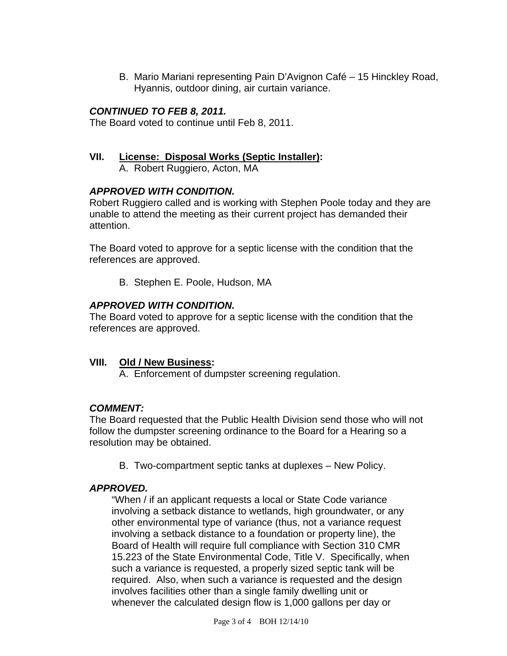B. Mario Mariani representing Pain D'Avignon Café – 15 Hinckley Road, Hyannis, outdoor dining, air curtain variance.

## *CONTINUED TO FEB 8, 2011.*

The Board voted to continue until Feb 8, 2011.

#### **VII. License: Disposal Works (Septic Installer):**

A. Robert Ruggiero, Acton, MA

### *APPROVED WITH CONDITION.*

Robert Ruggiero called and is working with Stephen Poole today and they are unable to attend the meeting as their current project has demanded their attention.

The Board voted to approve for a septic license with the condition that the references are approved.

B. Stephen E. Poole, Hudson, MA

### *APPROVED WITH CONDITION.*

The Board voted to approve for a septic license with the condition that the references are approved.

#### **VIII. Old / New Business:**

A. Enforcement of dumpster screening regulation.

#### *COMMENT:*

The Board requested that the Public Health Division send those who will not follow the dumpster screening ordinance to the Board for a Hearing so a resolution may be obtained.

B. Two-compartment septic tanks at duplexes – New Policy.

#### *APPROVED.*

"When / if an applicant requests a local or State Code variance involving a setback distance to wetlands, high groundwater, or any other environmental type of variance (thus, not a variance request involving a setback distance to a foundation or property line), the Board of Health will require full compliance with Section 310 CMR 15.223 of the State Environmental Code, Title V. Specifically, when such a variance is requested, a properly sized septic tank will be required. Also, when such a variance is requested and the design involves facilities other than a single family dwelling unit or whenever the calculated design flow is 1,000 gallons per day or